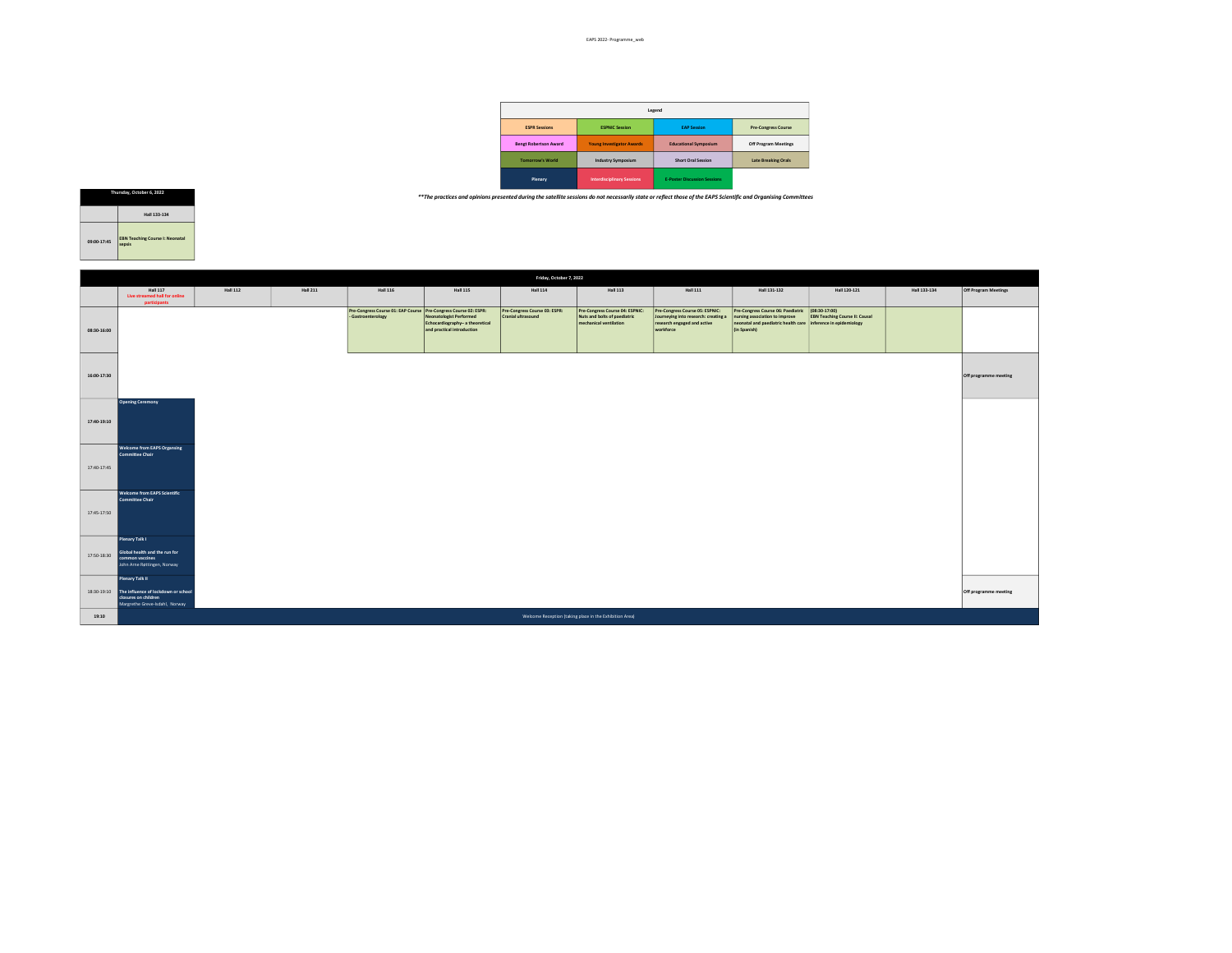|                              |                                   | Legend                              |                            |
|------------------------------|-----------------------------------|-------------------------------------|----------------------------|
| <b>ESPR Sessions</b>         | <b>ESPNIC Session</b>             | <b>EAP Session</b>                  | <b>Pre-Congress Course</b> |
| <b>Bengt Robertson Award</b> | <b>Young Investigator Awards</b>  | <b>Educational Symposium</b>        | Off Program Meetings       |
| <b>Tomorrow's World</b>      | <b>Industry Symposium</b>         | <b>Short Oral Session</b>           | <b>Late Breaking Orals</b> |
| Plenary                      | <b>Interdisciplinary Sessions</b> | <b>F-Poster Discussion Sessions</b> |                            |

\*\*The practices and opinions presented during the satellite sessions do not necessarily state or reflect those of the EAPS Scientific and Organising Committees



|             | Friday, October 7, 2022                                                                                          |                 |                 |                                                                                        |                                                                                                 |                                                     |                                                                                           |                                                                                                                     |                                                                                                                                                                     |                                       |              |                       |
|-------------|------------------------------------------------------------------------------------------------------------------|-----------------|-----------------|----------------------------------------------------------------------------------------|-------------------------------------------------------------------------------------------------|-----------------------------------------------------|-------------------------------------------------------------------------------------------|---------------------------------------------------------------------------------------------------------------------|---------------------------------------------------------------------------------------------------------------------------------------------------------------------|---------------------------------------|--------------|-----------------------|
|             | <b>Hall 117</b><br>Live streamed hall for online<br>participants                                                 | <b>Hall 112</b> | <b>Hall 211</b> | <b>Hall 116</b>                                                                        | <b>Hall 115</b>                                                                                 | <b>Hall 114</b>                                     | <b>Hall 113</b>                                                                           | <b>Hall 111</b>                                                                                                     | Hall 131-132                                                                                                                                                        | Hall 120-121                          | Hall 133-134 | Off Program Meetings  |
| 08:30-16:00 |                                                                                                                  |                 |                 | Pre-Congress Course 01: EAP Course Pre-Congress Course 02: ESPR:<br>- Gastroenterology | <b>Neonatologist Performed</b><br>Echocardiography- a theoretical<br>and practical introduction | Pre-Congress Course 03: ESPR:<br>Cranial ultrasound | Pre-Congress Course 04: ESPNIC:<br>Nuts and bolts of paediatric<br>mechanical ventilation | Pre-Congress Course 05: ESPNIC:<br>Journeying into research: creating a<br>research engaged and active<br>workforce | Pre-Congress Course 06: Paediatric (08:30-17:00)<br>nursing association to improve<br>neonatal and paediatric health care inference in epidemiology<br>(in Spanish) | <b>EBN Teaching Course II: Causal</b> |              |                       |
| 16:00-17:30 |                                                                                                                  |                 |                 |                                                                                        |                                                                                                 |                                                     |                                                                                           |                                                                                                                     |                                                                                                                                                                     |                                       |              | Off programme meeting |
| 17:40-19:10 | <b>Opening Ceremony</b>                                                                                          |                 |                 |                                                                                        |                                                                                                 |                                                     |                                                                                           |                                                                                                                     |                                                                                                                                                                     |                                       |              |                       |
| 17:40-17:45 | <b>Welcome from EAPS Organsing</b><br>Committee Chair                                                            |                 |                 |                                                                                        |                                                                                                 |                                                     |                                                                                           |                                                                                                                     |                                                                                                                                                                     |                                       |              |                       |
| 17:45-17:50 | Welcome from EAPS Scientific<br>Committee Chair                                                                  |                 |                 |                                                                                        |                                                                                                 |                                                     |                                                                                           |                                                                                                                     |                                                                                                                                                                     |                                       |              |                       |
|             | Plenary Talk I<br>Global health and the run for<br>17:50-18:30 common vaccines<br>John Arne Røttingen, Norway    |                 |                 |                                                                                        |                                                                                                 |                                                     |                                                                                           |                                                                                                                     |                                                                                                                                                                     |                                       |              |                       |
| 18:30-19:10 | Plenary Talk II<br>The influence of lockdown or school<br>closures on children<br>Margrethe Greve-Isdahl, Norway |                 |                 |                                                                                        |                                                                                                 |                                                     |                                                                                           |                                                                                                                     |                                                                                                                                                                     |                                       |              | Off programme meeting |
| 19:10       |                                                                                                                  |                 |                 |                                                                                        |                                                                                                 |                                                     | Welcome Reception (taking place in the Exhibition Area)                                   |                                                                                                                     |                                                                                                                                                                     |                                       |              |                       |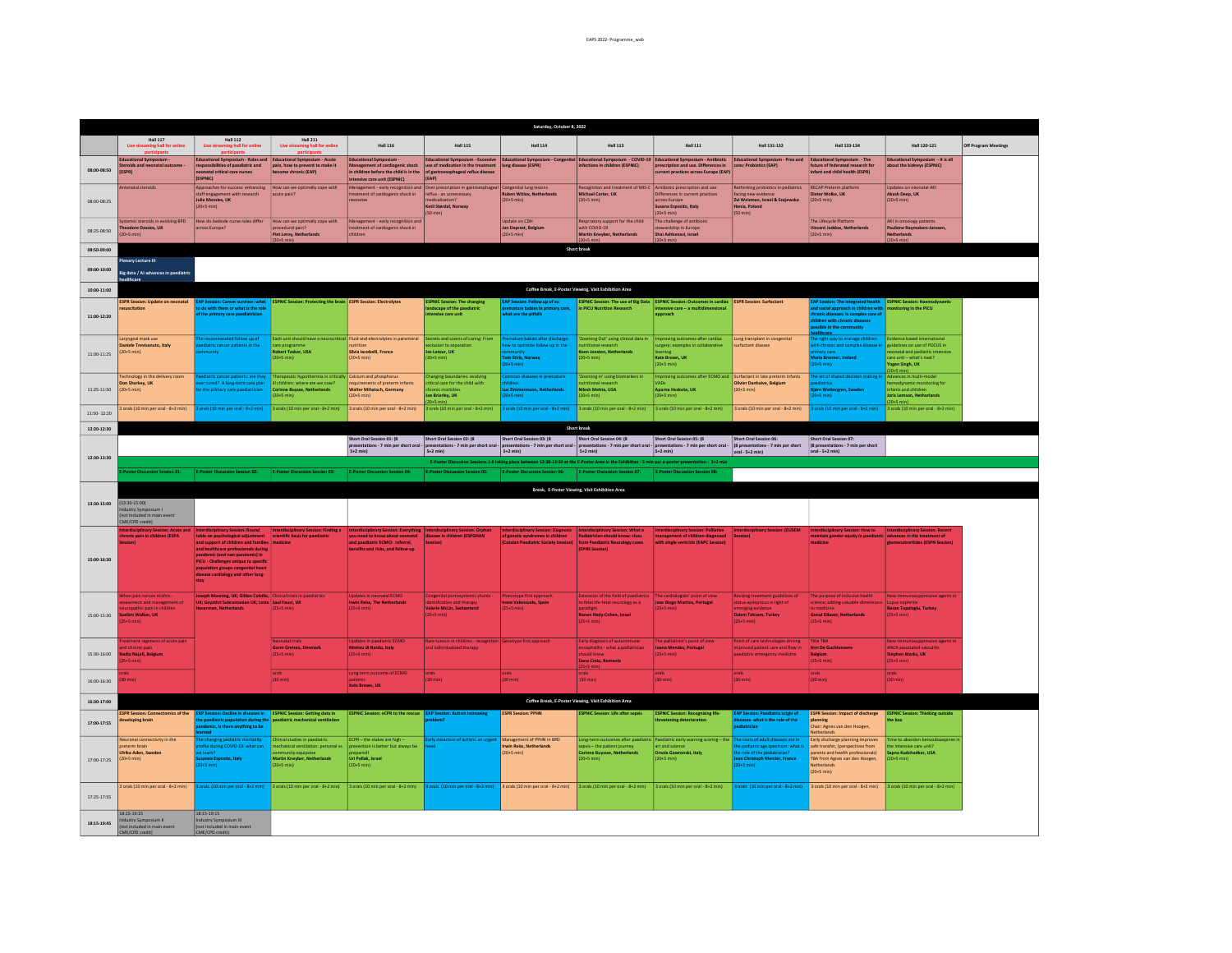| Saturday, October 8, 2022 |                                                                                                                   |                                                                                                                                                                                                                                                                                                                                                           |                                                                                                                                               |                                                                                                                                                                                   |                                                                                                                                                                               |                                                                                                                                                |                                                                                                                                                          |                                                                                                                                                                                                                           |                                                                                                                                                  |                                                                                                                                                                                                                       |                                                                                                                                                      |                      |
|---------------------------|-------------------------------------------------------------------------------------------------------------------|-----------------------------------------------------------------------------------------------------------------------------------------------------------------------------------------------------------------------------------------------------------------------------------------------------------------------------------------------------------|-----------------------------------------------------------------------------------------------------------------------------------------------|-----------------------------------------------------------------------------------------------------------------------------------------------------------------------------------|-------------------------------------------------------------------------------------------------------------------------------------------------------------------------------|------------------------------------------------------------------------------------------------------------------------------------------------|----------------------------------------------------------------------------------------------------------------------------------------------------------|---------------------------------------------------------------------------------------------------------------------------------------------------------------------------------------------------------------------------|--------------------------------------------------------------------------------------------------------------------------------------------------|-----------------------------------------------------------------------------------------------------------------------------------------------------------------------------------------------------------------------|------------------------------------------------------------------------------------------------------------------------------------------------------|----------------------|
|                           | <b>Hall 117</b><br>Live streaming hall for                                                                        | <b>Hall 112</b><br>Live strea<br>ning hall for onl                                                                                                                                                                                                                                                                                                        | <b>Hall 211</b><br>This stre<br>ning hall for online                                                                                          | <b>Hall 116</b>                                                                                                                                                                   | <b>Hall 115</b>                                                                                                                                                               | <b>Hall 114</b>                                                                                                                                | <b>Hall 113</b>                                                                                                                                          | <b>Hall 111</b>                                                                                                                                                                                                           | Hall 131-132                                                                                                                                     | Hall 133-134                                                                                                                                                                                                          | Hall 120-121                                                                                                                                         | Off Program Meetings |
| 08:00-08:50               | <b>Educational Symposium</b><br><b>Steroids and neonatal outcome</b><br>(FSPR)                                    | <b>Educational Symposium - Roles and</b><br>responsibilities of paediatric and<br>eonatal critical care nurses                                                                                                                                                                                                                                            | <b>Educational Symposium - Acute</b><br>pain, how to prevent to make it<br>become chronic (EAP)                                               | <b>Educational Symposium</b><br>Management of cardiogenic shock<br>in children before the child is in the                                                                         | use of medication in the treatment<br>of gastroesophageal reflux disease                                                                                                      | lung disease (ESPR)                                                                                                                            | infections in children (ESPNIC)                                                                                                                          | Educational Symposium - Excessive Educational Symposium - Congenital Educational Symposium - COVID-19 Educational Symposium - Antibiotic<br>prescription and use. Differences in<br>current practices across Europe (EAP) | Educational Symposium - Pros and Educational Symposium - The<br>cons: Probiotics (EAP)                                                           | future of federated research for<br>infant and child health (ESPR)                                                                                                                                                    | Educational Symposium - It is all<br>about the kidneys (ESPNIC)                                                                                      |                      |
| 08:00-08:25               | tenatal steroids                                                                                                  | (ESPNIC)<br>Approaches for success: enhancing<br>staff engagement with research<br>Julie Menzies, UK<br>$(20+5 min)$                                                                                                                                                                                                                                      | low can we optimally cope with<br>acute pain?                                                                                                 | intensive care unit (ESPNIC)<br>treatment of cardiogenic shock in<br>neonates                                                                                                     | (EAP)<br>Management - early recognition and Over prescription in gastroesphageal<br>reflux - an unnecessary<br>medicalization?<br>Ketil Størdal, Norway<br>$(50 \text{ min})$ | Congenital lung lesions<br><b>Ruben Witlox, Netherlands</b><br>$(20+5 \text{ min})$                                                            | Recognition and treatment of MIS-C<br>Michael Carter, UK<br>$(20+5 min)$                                                                                 | Antibiotic prescription and use<br>Differences in current practices<br>across Europe<br>Susana Esposito, Italy<br>$(20+5 \text{ min})$                                                                                    | thinking probiotics in pediatrics<br>facing new evidence<br>Zvi Weizman, Israel & Szajewska<br>Hania, Poland<br>$(50 \text{ min})$               | RECAP Preterm platform<br>Dieter Wolke, UK<br>$(20+5 \text{ min})$                                                                                                                                                    | Updates on neonatal AK<br>Akash Deep, UK<br>$(20+5 \text{ min})$                                                                                     |                      |
| 08:25-08:50               | Systemic steroids in evolving BPD<br>heodore Dassios, UK<br>$(20+5 \text{ min})$                                  | How do bedside nurse roles differ<br>cross Europe?                                                                                                                                                                                                                                                                                                        | How can we optimally cope with<br>ocedural pain?<br><b>Piet Leroy, Netherlands</b>                                                            | Management - early recognition and<br>treatment of cardiogenic shock in<br>children                                                                                               |                                                                                                                                                                               | Update on CDH<br>Jan Deprest, Belgium<br>$(20+5 \text{ min})$                                                                                  | Respiratory support for the child<br>with COVID-19<br>Martin Kneyber, Netherlands                                                                        | The challenge of antibiotic<br>tewardship in Europe<br>Shai Ashkenazi, Israel                                                                                                                                             |                                                                                                                                                  | The Lifecycle Platform<br>Vincent Jaddoe, Netherlands<br>$(20+5 \text{ min})$                                                                                                                                         | AKI in oncology patients<br>Pauliene Raymakers-Janssen<br><b>Netherlands</b>                                                                         |                      |
| 08:50-09:00               |                                                                                                                   |                                                                                                                                                                                                                                                                                                                                                           |                                                                                                                                               |                                                                                                                                                                                   |                                                                                                                                                                               |                                                                                                                                                | <b>Short break</b>                                                                                                                                       |                                                                                                                                                                                                                           |                                                                                                                                                  |                                                                                                                                                                                                                       |                                                                                                                                                      |                      |
| 09:00-10:00               | Plenary Lecture III<br><b>Rie data / Al advances in naediatri</b><br>althcare                                     |                                                                                                                                                                                                                                                                                                                                                           |                                                                                                                                               |                                                                                                                                                                                   |                                                                                                                                                                               |                                                                                                                                                |                                                                                                                                                          |                                                                                                                                                                                                                           |                                                                                                                                                  |                                                                                                                                                                                                                       |                                                                                                                                                      |                      |
| 10:00-11:00               |                                                                                                                   |                                                                                                                                                                                                                                                                                                                                                           |                                                                                                                                               |                                                                                                                                                                                   |                                                                                                                                                                               |                                                                                                                                                | Coffee Break, E-Poster Viewing, Visit Exhibition Area                                                                                                    |                                                                                                                                                                                                                           |                                                                                                                                                  |                                                                                                                                                                                                                       |                                                                                                                                                      |                      |
| 11:00-12:20               | <b>ESPR Session: Update on neonatal</b><br>suscitation                                                            | to do with them or what is the role<br>f the primary care paediatri                                                                                                                                                                                                                                                                                       | <b>EAP Session: Cancer survivor: what ESPNIC Session: Protecting the brain ESPR Session: Electrolytes</b>                                     |                                                                                                                                                                                   | <b>ESPNIC Session: The changing</b><br>landscape of the paediatric<br>tensive care unit                                                                                       | <b>EAP Session: Follow up of ex</b><br>premature babies in primary care,<br>hat are the pitfalls                                               | In PICU Nutrition Research                                                                                                                               | ESPNIC Session: The use of Big Data   ESPNIC Session: Outcomes in cardiac   ESPR Session: Surfactant<br>intensive care - a multidimens<br>approach                                                                        |                                                                                                                                                  | EAP Session: The integrated health ESPNIC Session: Haemodynamic<br>ind social approach in children with<br>ronic diseases: Is complex care of<br>hildren with chronic diseases<br>ssible in the community<br>althcare | mitoring in the PICU                                                                                                                                 |                      |
| 11:00-11:25               | Laryngeal mask use<br><b>Daniele Trevisanuto, Italy</b><br>$(20+5 \text{ min})$                                   | ended follow up a<br>diatric cancer patients in the                                                                                                                                                                                                                                                                                                       | are program<br>tobert Tasker, USA<br>$20+5$ min)                                                                                              | ach unit should have a neurocritical Fluid and electrolytes in parenteral<br>utrition<br>Silvia Iacobelli, France<br>$(20+5 min)$                                                 | Secrets and scents of caring: From<br>relusion to senaration<br>Jos Latour, UK<br>$(20+5 \text{ min})$                                                                        | nature babies after discharge<br>w to optimize follow up in the<br>om Stiris, Norwa<br>$0+5$ min $)$                                           | Zooming Out' using clinical data in<br>utritional research<br>Koen Joosten, Netherlands<br>$(20+5 \text{ min})$                                          | mproving outcomes after cardiac<br>urgery: examples in collaborative<br>arning<br>Kate Brown, UK<br>$(20+5$ min $)$                                                                                                       | ung transplant in congenital<br>urfactant disease                                                                                                | right way to manage children<br>th chronic and complex disease in<br>mary care<br><b>Aaria Brenner, Ireland</b><br>$0+5$ min $)$                                                                                      | Evidence based interna<br>puidelines on use of POCUS in<br>conatal and pediatric inter<br>$are unit - what's next?$<br>Yogen Singh, UK<br>$0+5$ min) |                      |
| 11:25-11:50               | Technology in the delivery room<br>Don Sharkey, UK<br>$(20 + 5 min)$                                              | ediatric cancer patients: are they<br>er cured? A long-term care plar<br>the primary care paediatricia                                                                                                                                                                                                                                                    | herapeutic hypothermia in critically Calcium and phosphorus<br>children: where are we now?<br><b>Corinne Buysse, Netherlands</b><br>$0+5$ min | requirements of preterm infants<br>Walter Mihatsch, Germany<br>$(20+5 \text{ min})$                                                                                               | Changing boundaries: evolving<br>ritical care for the child with<br>Joe Brierley, UK<br>$20+5$ min)                                                                           | nmon diseases in premature<br>Idren<br>c Zimmern<br>$20+5$ min)                                                                                | 'Zooming in' using biomarkers in<br>utritional rese<br>Nilesh Mehta, USA<br>$(20+5 min)$                                                                 | nproving outcomes after ECMO and Surfactant in late preterm infants<br>VADs<br>Apama Hoskote, UK<br>$(20+5$ min)                                                                                                          | Olivier Danhaive, Belgium<br>$(20+5 min)$                                                                                                        | e art of shared decision making in<br>diatrics<br>drn Wettergren, Sweden<br>$0+5$ min)                                                                                                                                | Advances in multi-modal<br>emodynamic monitoring for<br>nfants and children<br><b>Joris Lemson, Netherlands</b><br>$20+5$ min)                       |                      |
| 11:50 - 12:20             | orals (10 min per oral - 8+2 min)                                                                                 | orals (10 min per oral - 8+2 min)                                                                                                                                                                                                                                                                                                                         | 3 orals (10 min per oral - 8+2 min)                                                                                                           | 3 orals (10 min per oral - 8+2 min)                                                                                                                                               | orals (10 min per oral - 8+2 min)                                                                                                                                             | orals (10 min per oral - 8+2 min)                                                                                                              | 3 orals (10 min per oral - 8+2 min)                                                                                                                      | 3 orals (10 min per oral - 8+2 min)                                                                                                                                                                                       | 3 orals (10 min per oral - 8+2 min)                                                                                                              | orals (10 min per oral - 8+2 min)                                                                                                                                                                                     | 3 orals (10 min per oral - 8+2 min)                                                                                                                  |                      |
| 12:20-12:30               |                                                                                                                   |                                                                                                                                                                                                                                                                                                                                                           |                                                                                                                                               | Short Oral Session 01: (8                                                                                                                                                         | Short Oral Session 02: (8                                                                                                                                                     | Short Oral Session 03: (8                                                                                                                      | Short break<br>Short Oral Session 04: (8                                                                                                                 | Short Oral Session 05: (8                                                                                                                                                                                                 | Short Oral Session 06:                                                                                                                           | Short Oral Session 07:                                                                                                                                                                                                |                                                                                                                                                      |                      |
|                           |                                                                                                                   |                                                                                                                                                                                                                                                                                                                                                           |                                                                                                                                               | presentations - 7 min per short oral<br>$5+2$ min)                                                                                                                                | presentations - 7 min per short oral<br>$5+2$ min)                                                                                                                            | presentations - 7 min per short oral<br>$5+2$ min)                                                                                             | presentations - 7 min per short oral -<br>$5+2$ min)                                                                                                     | presentations - 7 min per short oral<br>$5+2$ min)                                                                                                                                                                        | (8 presentations - 7 min per short<br>oral - 5+2 min)                                                                                            | (8 presentations - 7 min per short<br>oral - 5+2 min)                                                                                                                                                                 |                                                                                                                                                      |                      |
| 12:30-13:30               |                                                                                                                   |                                                                                                                                                                                                                                                                                                                                                           |                                                                                                                                               |                                                                                                                                                                                   |                                                                                                                                                                               |                                                                                                                                                | E-Poster Discussion Sessions 1-8 taking place between 12:30-13:30 at the E-Poster Area in the Exhibition - 5 min per e-poster presentation - 3+2 min     |                                                                                                                                                                                                                           |                                                                                                                                                  |                                                                                                                                                                                                                       |                                                                                                                                                      |                      |
|                           | oster Discussion Session 01:                                                                                      | E-Poster Discussion Session 02:                                                                                                                                                                                                                                                                                                                           | E-Poster Discussion Session 03:                                                                                                               | E-Poster Discussion Session 04:                                                                                                                                                   | <b>E-Poster Discussion Session 05:</b>                                                                                                                                        | E-Poster Discussion Session 06:                                                                                                                | E-Poster Discussion Session 07:                                                                                                                          | E-Poster Discussion Session 08                                                                                                                                                                                            |                                                                                                                                                  |                                                                                                                                                                                                                       |                                                                                                                                                      |                      |
|                           |                                                                                                                   |                                                                                                                                                                                                                                                                                                                                                           |                                                                                                                                               |                                                                                                                                                                                   |                                                                                                                                                                               |                                                                                                                                                | Break, E-Poster Viewing, Visit Exhibition Area                                                                                                           |                                                                                                                                                                                                                           |                                                                                                                                                  |                                                                                                                                                                                                                       |                                                                                                                                                      |                      |
| 13:30-15:00               | $(13:30-15:00)$<br>ndustry Symposium I<br>(not included in main event<br>.<br>CME/CPD credit)                     |                                                                                                                                                                                                                                                                                                                                                           |                                                                                                                                               |                                                                                                                                                                                   |                                                                                                                                                                               |                                                                                                                                                |                                                                                                                                                          |                                                                                                                                                                                                                           |                                                                                                                                                  |                                                                                                                                                                                                                       |                                                                                                                                                      |                      |
| 15:00-16:30               | terdisciplinary Session: Acute and<br>ronic pain in children (ESPA<br><b>ccion)</b>                               | Interdisciplinary Session: Round<br>table on psychological adjustment scientific basis for paediatric<br>and support of children and families medicine<br>and healthcare professionals during<br>pandemic (and non-pandemic) in<br>PICU - Challenges unique to specific<br>population groups congenital hear<br>disease cardiology and other long<br>stav | Interdisciplinary Session: Finding a                                                                                                          | Interdisciplinary Session: Everything Interdisciplinary Session: Orphan<br>you need to know about neonatal<br>and paediatric ECMO: referral.<br>benefits and risks, and follow-up | disease in children (ESPGHAN<br>Session)                                                                                                                                      | terdisciplinary Session: Diagnosis<br>of genetic syndromes in children<br>(Catalan Paediatric Society Session) from Paediatric Neurology cases | Interdisciplinary Session: What a<br>Pediatrician should know: clues<br>(EPNS Session)                                                                   | sterdisciplinary Session: Palliative<br>management of children diagnosed<br>with single ventricle (EAPC Session)                                                                                                          | terdisciplinary Session: (EUSEM                                                                                                                  | Interdisciplinary Session: How to Interdisciplinary Session: Recent<br>maintain gender equity in paediatric advances in the treatment of<br>medicine                                                                  | clomerulonritides (ESPN Session)                                                                                                                     |                      |
| 15:00-15:30               | hen pain nerves misfire<br>essment and management of<br>poathic pain in childre<br>uellen Walker, UK<br>$+5$ min) | Joseph Manning, UK; Gillian Colville, Clinical trials in paediatrics<br>UK; Gayathri Subramanian UK; Lotte Saul Faust, UK<br>verman, Netherlands                                                                                                                                                                                                          |                                                                                                                                               | <b>Jodates in neonatal ECMO</b><br>Irwin Reiss, The Netherlands<br>$(25+5 min)$                                                                                                   | <b>Congenital portosystemic shunts</b><br>intification and therapy<br>Valerie McLin, Switzerland<br>$(25+5 \text{ min})$                                                      | henotype first approach<br>rene Valenzuela, Spain<br>$25+5$ min)                                                                               | Extension of the field of paediatrics The cardiologists' point of view<br>to fetal life-fetal neurology as a<br>Ronen Hady-Cohen, Israel<br>$(25+5$ min) | Jose Diogo Martins, Portugal                                                                                                                                                                                              | <b>Revising treatment guidelines of</b><br>tatus epilepticus in light of<br>merging evidence<br><b>Ozlem Teksam, Turkey</b><br>$(25+5$ min $)$   | The purpose of inclusive health<br>science; adding valuable dime<br><b>Gonul Dilayer, Netherlands</b><br>$(25+5 min)$                                                                                                 | New immunosuppressive agents in<br>upus nephriti<br>Rezan Topaloglu, Turkey<br>$(25+5 \text{ min})$                                                  |                      |
| 15:30-16:00               | atment regimens of acute pain<br>adia Najafi, Relejun<br>$+5$ min)                                                |                                                                                                                                                                                                                                                                                                                                                           | <b>Neonatal trials</b><br>Gorm Greisen, Denmar<br>$(25+5 \text{ min})$                                                                        | <b>Updates in paediatric ECMO</b><br>Matteo di Nardo, Italy<br>$(25+5 min)$                                                                                                       | Rare tumors in children - recognitio<br>nd individualized therapy                                                                                                             | Genotype first approach                                                                                                                        | Early diagnosis of autoimmune<br>encephalitis - what a pediatrician<br>should know<br>Dana Craiu, Romania<br>$25+5$ min)                                 | The palliativist's point of view<br>Joana Mendes, Portugal<br>$25+5$ min)                                                                                                                                                 | Point of care technologies driving<br>mproved patient care and flow in<br>aediatric emergency medicine                                           | <b>Title TBA</b><br>Ann De Guchtenaere<br><b>Belgium</b><br>$(25+5 min)$                                                                                                                                              | New immunosuppressive agents in<br>ANCA associated vasculitis<br><b>Stephen Marks, UK</b><br>$(25+5 \text{ min})$                                    |                      |
| 16:00-16:30               | (nim)                                                                                                             |                                                                                                                                                                                                                                                                                                                                                           | orals<br>(30 min)                                                                                                                             | Long term outcome of ECMO<br>Kate Brown, UK                                                                                                                                       | orals.<br>$(30 \text{ min})$                                                                                                                                                  | orals<br>(30 min)                                                                                                                              | orals<br>$(30 \text{ min})$                                                                                                                              | orals<br>$(30 \text{ min})$                                                                                                                                                                                               | <b>orals</b><br>$(30 \text{ min})$                                                                                                               | orals:<br>(30 min)                                                                                                                                                                                                    | orals.<br>(30 min)                                                                                                                                   |                      |
| 16:30-17:00               |                                                                                                                   |                                                                                                                                                                                                                                                                                                                                                           |                                                                                                                                               |                                                                                                                                                                                   |                                                                                                                                                                               |                                                                                                                                                | Coffee Break, E-Poster Viewing, Visit Exhibition Area                                                                                                    |                                                                                                                                                                                                                           |                                                                                                                                                  |                                                                                                                                                                                                                       |                                                                                                                                                      |                      |
| 17:00-17:55               | <b>ESPR Session: Connectomics of the</b><br>leveloping brain                                                      | EAP Session: Decline in diseases in ESPNIC Session: Getting data in<br>he paediatric population during the<br>demic, is there anything to be<br>med                                                                                                                                                                                                       | paediatric mechanical ventilation<br>linical studies in paediatric                                                                            | <b>ESPNIC Session: eCPR to the rescue EAP Session: Autism increasing</b><br>ECPR - the stakes are high -                                                                          | arly detection of autism: an urgent Management of PPHN in BPD                                                                                                                 | <b>ESPR Session: PPHN</b>                                                                                                                      | <b>ESPNIC Session: Life after sepsis</b>                                                                                                                 | <b>ESPNIC Session: Recognising life-</b><br>hreatening deterioration                                                                                                                                                      | <b>EAP Session: Paediatric origin of</b><br>Iseases- what is the role of the<br>diatrician                                                       | <b>ESPR Session: Impact of discharge</b><br>planning<br>.<br>Chair: Agnes van den Hoogen,<br>letherlands                                                                                                              | <b>ESPNIC Session: Thinking outside</b><br>the box                                                                                                   |                      |
| 17:00-17:25               | Neuronal connectivity in the<br>preterm brain<br>Ulrika Aden, Sweder<br>$(20+5 min)$                              | te changing pediatric morbidity<br>ofile during COVID-19: what can<br>e learn?<br>usanna Esposito, Italy<br>$0+5$ min)                                                                                                                                                                                                                                    | chanical ventilation: person<br>munity equipoise<br><b>Martin Kneyber, Netherlands</b><br>$20+5$ min)                                         | prevention is better but always be<br>renared<br>Uri Pollak, Israel<br>$(20+5 \text{ min})$                                                                                       |                                                                                                                                                                               | win Reiss, Netherlands<br>$(20+5 \text{ min})$                                                                                                 | sepsis - the patient journey<br><b>Corinne Buyssse, Netherlands</b><br>$(20+5 min)$                                                                      | Long-term outcomes after paediatric Paediatric early warning scoring - the<br>art and science<br>Orsola Gawronski, Italy<br>$(20+5 min)$                                                                                  | The roots of adult diseases are in<br>e pediatric age spectrum: wha<br>e role of the nediatrician?<br>ean Christoph Mercier, France<br>$+5$ min) | Early discharge planning improves<br>afe transfer, (perspectives from<br>arents and health professionals)<br>TBA from Agnes van den Hoogen,<br>letherlands<br>$(20+5 \text{ min})$                                    | Time to abandon benzodiazeoines in<br>Sanna Kudchadkar, USA<br>$(20+5 \text{ min})$                                                                  |                      |
| 17:25-17:55               | 3 orals (10 min per oral - 8+2 min)                                                                               |                                                                                                                                                                                                                                                                                                                                                           | 3 orals (10 min per oral - 8+2 min) 3 orals (10 min per oral - 8+2 min)                                                                       | 3 orals (10 min per oral - 8+2 min) 3 orals (10 min per oral - 8+2 min) 3 orals (10 min per oral - 8+2 min)                                                                       |                                                                                                                                                                               |                                                                                                                                                | 3 orals (10 min per oral - 8+2 min)                                                                                                                      | 3 orals (10 min per oral - 8+2 min)                                                                                                                                                                                       |                                                                                                                                                  | 3 orals (10 min per oral - $8+2$ min) 3 orals (10 min per oral - $8+2$ min)                                                                                                                                           | 3 orals (10 min per oral - 8+2 min)                                                                                                                  |                      |
| 18:15-19:45               | $18:15-19:15$<br>Industry Symposium II<br>(not included in main event<br>CME/CPD credit)                          | 18:15-19:15<br>Industry Symposium III<br>Inot included in main event<br>CME/CPD credit)                                                                                                                                                                                                                                                                   |                                                                                                                                               |                                                                                                                                                                                   |                                                                                                                                                                               |                                                                                                                                                |                                                                                                                                                          |                                                                                                                                                                                                                           |                                                                                                                                                  |                                                                                                                                                                                                                       |                                                                                                                                                      |                      |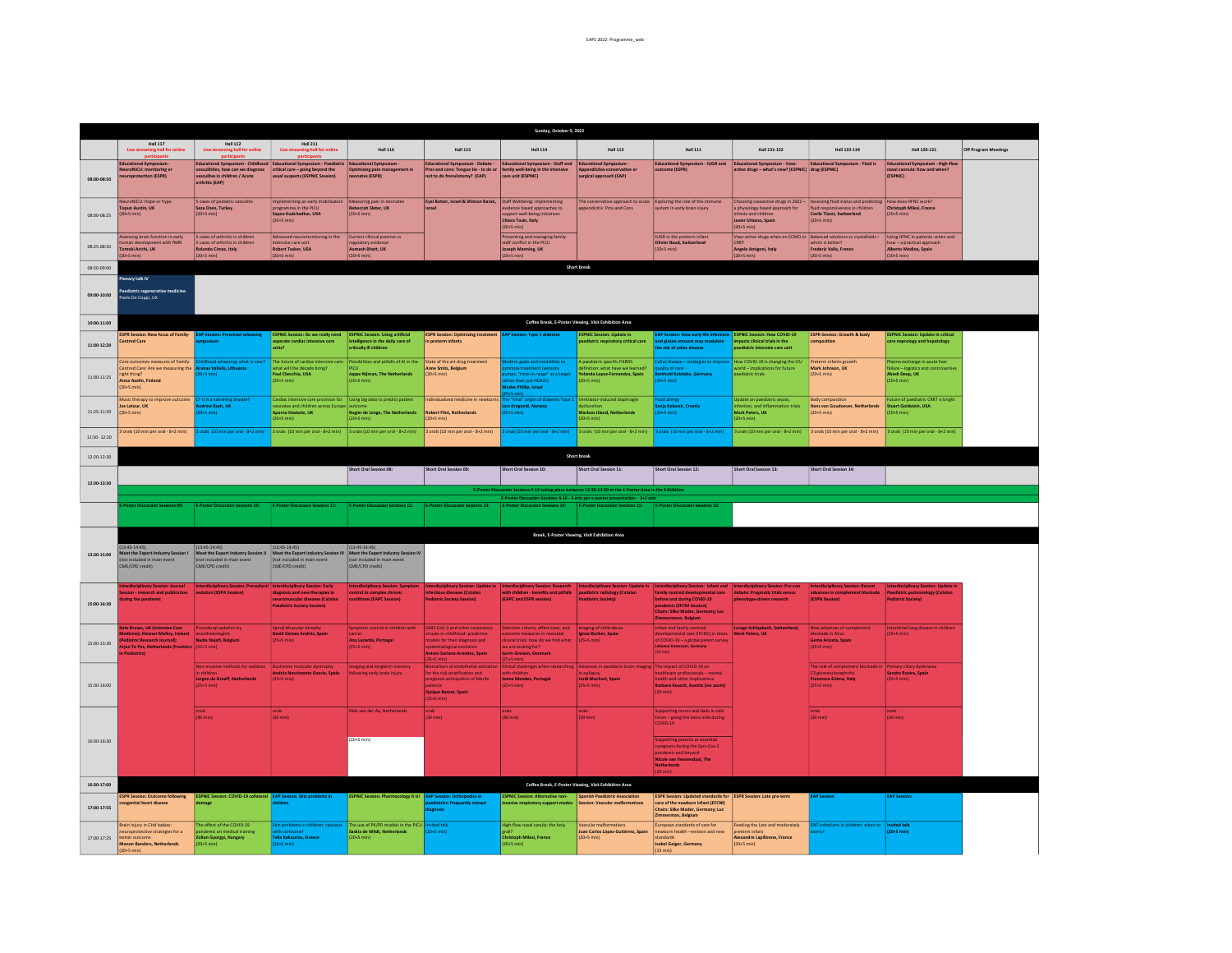|               |                                                                                                                                                                                                                                                                       |                                                                                                                                    |                                                                                                                  |                                                                                                                                                                        |                                                                                                                                                                                                           | Sunday, October 9, 2022                                                                                                                                                     |                                                                                                                  |                                                                                                                                                                  |                                                                                                                                               |                                                                                                                                                       |                                                                                                              |                      |  |
|---------------|-----------------------------------------------------------------------------------------------------------------------------------------------------------------------------------------------------------------------------------------------------------------------|------------------------------------------------------------------------------------------------------------------------------------|------------------------------------------------------------------------------------------------------------------|------------------------------------------------------------------------------------------------------------------------------------------------------------------------|-----------------------------------------------------------------------------------------------------------------------------------------------------------------------------------------------------------|-----------------------------------------------------------------------------------------------------------------------------------------------------------------------------|------------------------------------------------------------------------------------------------------------------|------------------------------------------------------------------------------------------------------------------------------------------------------------------|-----------------------------------------------------------------------------------------------------------------------------------------------|-------------------------------------------------------------------------------------------------------------------------------------------------------|--------------------------------------------------------------------------------------------------------------|----------------------|--|
|               | <b>Hall 117</b>                                                                                                                                                                                                                                                       | <b>Hall 112</b>                                                                                                                    | <b>Hall 211</b>                                                                                                  |                                                                                                                                                                        |                                                                                                                                                                                                           |                                                                                                                                                                             |                                                                                                                  |                                                                                                                                                                  |                                                                                                                                               |                                                                                                                                                       |                                                                                                              |                      |  |
|               | Live streaming hall for online                                                                                                                                                                                                                                        | This stre<br>ning hall for onlin                                                                                                   | The dr<br>ing hall for online                                                                                    | <b>Hall 116</b>                                                                                                                                                        | <b>Hall 115</b>                                                                                                                                                                                           | <b>Hall 114</b>                                                                                                                                                             | <b>Hall 113</b>                                                                                                  | <b>Hall 111</b>                                                                                                                                                  | Hall 131-132                                                                                                                                  | Hall 133-134                                                                                                                                          | Hall 120-121                                                                                                 | Off Program Meetings |  |
| 08:00.08:50   | <b>Educational Symposium</b><br><b>VeuroNICU: monitoring or</b><br>neuroprotection (ESPR)                                                                                                                                                                             | <b>Educational Symposium - Childhood</b><br>vasculitides, how can we diagnose<br>vasculites in children / Acute<br>arthritis (EAP) | <b>Educational Symposium - Paediatric</b><br>critical care - going beyond the<br>usual suspects (ESPNIC Session) | <b>Educational Symposium</b><br><b>Optimising pain manage</b><br>neonates (ESPR)                                                                                       | Educational Symposium - Debate -<br>Pros and cons: Tongue tie - to do or family well-being in the intensive<br>not to do frenulotomy? (EAP)                                                               | Educational Symposium - Staff and<br>care unit (ESPNIC)                                                                                                                     | <b>Educational Symposium</b><br>Appendicites-co<br>rvative o<br>surgical approach (EAP)                          | Educational Symposium - IUGR and<br>utcome (ESPR)                                                                                                                | Educational Symposium - Vaso-<br>ctive drugs - what's new? (ESPNIC) drug (ESPNIC)                                                             | Educational Symposium - Fluid is                                                                                                                      | Educational Symposium - High-flow<br>nasal cannula: how and when?<br>(ESPNIC)                                |                      |  |
| 08:00-08:25   | euroNICU: Hope or hype<br>Topun Austin, UK<br>$(20+5 \text{ min})$                                                                                                                                                                                                    | 5 cases of pediatric vasculitis<br>Seza Ozen, Turkey<br>$(20+5 min)$                                                               | mplementing an early mobilisation<br>programme in the PICU<br>Sapna Kudchadkar, USA<br>$(20+5$ min)              | Measuring pain in neonates<br>Rebeccah Slater, UK<br>$(20+5 \text{ min})$                                                                                              | Eyal Botzer, Israel & Shimon Barak, Staff Wellbeing: implementing<br>Israel                                                                                                                               | support well-being initiatives<br>Chiara Tosin, Italy<br>$(20+5 min)$                                                                                                       | The conservative approach to acute<br>appendicitis: Pros and Cons                                                | Exploring the role of the immune<br>ystem in early brain injury                                                                                                  | Choosing vasoactive drugs in 2022 -<br>a physiology based approach for<br>nfants and children<br>Javier Urbano, Spain<br>$(20+5 \text{ min})$ | Assessing fluid status and predicting   How does HFNC work?<br>fluid responsiveness in children<br>Cecile Tissot, Switzerland<br>$(20+5 \text{ min})$ | Christoph Milesi, France<br>$(20+5 \text{ min})$                                                             |                      |  |
| 08:25-08:50   | Issessing brain function in early<br>uman development with fMRI<br>moki Arichi, UK<br>$fmin2+0$                                                                                                                                                                       | 5 cases of arthritis in children<br>5 cases of arthritis in children<br>Rolando Cimaz, Italy<br>$(20+5$ min)                       | Advanced neuromonitoring in the<br>ntensive care unit<br>Robert Tasker, USA<br>$(20+5 \text{ min})$              | Current clinical practice vs<br>egulatory evidence<br>Aomesh Bhatt, UK<br>$(20+5 \text{ min})$                                                                         |                                                                                                                                                                                                           | Preventing and managing family-<br>staff conflict in the PICU<br>Joseph Manning, UK<br>$(20+5 \text{ min})$                                                                 |                                                                                                                  | <b>IUGR</b> in the preterm infant<br>Olivier Baud, Switzerland<br>$(20+5 \text{ min})$                                                                           | Vaso-active drugs when on ECMO or Balanced solutions vs crystalloids -<br><b>CRRT</b><br>Angela Amigoni, Italy<br>$(20+5 \text{ min})$        | which is better?<br>Frederic Valla, France<br>$(20+5 \text{ min})$                                                                                    | Using HFNC in patients: when and<br>tow - a practical approach<br>Alberto Medina, Spain<br>(20+5 min)        |                      |  |
| 08:50:09:00   |                                                                                                                                                                                                                                                                       |                                                                                                                                    |                                                                                                                  |                                                                                                                                                                        |                                                                                                                                                                                                           |                                                                                                                                                                             | <b>Short break</b>                                                                                               |                                                                                                                                                                  |                                                                                                                                               |                                                                                                                                                       |                                                                                                              |                      |  |
| 09:00-10:00   | Menary talk IV<br>ediatric regenerative medicine<br>aolo De Coppi, UK                                                                                                                                                                                                 |                                                                                                                                    |                                                                                                                  |                                                                                                                                                                        |                                                                                                                                                                                                           |                                                                                                                                                                             |                                                                                                                  |                                                                                                                                                                  |                                                                                                                                               |                                                                                                                                                       |                                                                                                              |                      |  |
| $10:00-11:00$ |                                                                                                                                                                                                                                                                       |                                                                                                                                    |                                                                                                                  |                                                                                                                                                                        |                                                                                                                                                                                                           |                                                                                                                                                                             | Coffee Break, E-Poster Viewing, Visit Exhibition Area                                                            |                                                                                                                                                                  |                                                                                                                                               |                                                                                                                                                       |                                                                                                              |                      |  |
| 11:00-12:20   | <b>ESPR Session: New focus of Family-</b><br><b>Centred Care</b>                                                                                                                                                                                                      | <b>EAP Session: Preschool wheezing</b>                                                                                             | <b>ESPNIC Session: Do we really need</b><br>eparate cardiac intensive care                                       | <b>ESPNIC Session: Using artificial</b><br>intelligence in the daily care of<br>critically ill children                                                                | <b>ESPR Session: Optimizing treatment</b><br>in preterm infants                                                                                                                                           | on: Type 1 diabete                                                                                                                                                          | <b>ESPNIC Session: Update in</b><br>aediatric respiratory critical care                                          | <b>EAP Session: How early life infecti</b><br>and gluten amount may modulate<br>the risk of cellac disease                                                       | <b>ESPNIC Session: How COVID-19</b><br>moacts clinical trials in the                                                                          | <b>ESPR Session: Growth &amp; body</b><br>omposition                                                                                                  | <b>ESPNIC Session: Update in critical</b><br>care neprology and hepatology                                   |                      |  |
| 11:00-11:25   | Core outcomes measures of Family-<br>Centred Care: Are we measuring the Arunas Valiulis, Lithuania<br>right thing?<br>Anna Axelin, Finland<br>$(20+5 min)$                                                                                                            | ildhood wheezing: what is new?<br>H5 min                                                                                           | hat will the decade bring?<br>Paul Checchia, USA<br>$20+5$ min)                                                  | The future of cardiac intensive care: Possibilities and pitfalls of AI in the State of the art drug treatment<br>PICU<br>Joppe Nijman, The Netherlands<br>$(20+5$ min) | Anne Smits, Belgium<br>$(20+5 \text{ min})$                                                                                                                                                               | fern goals and modalities to<br>ize treatment (sensors.<br>nps, "time-in-range" as a target<br>her than just HhA1C)<br>she Phillip, Israel                                  | A paediatric specific PARDS<br>efinition: what have we learned?<br>rolanda Lopez-Fernandez, Spain<br>$20+5$ min) | eliac disease - strategies to impr<br>ality of care<br>erthold Koletzko, Germany<br>fmin <sub>1</sub>                                                            | How COVID-19 is changing the ICU<br>orld - implications for future<br>aediatric trials                                                        | Preterm infants growth<br>Mark Johnson, UK<br>$(20+5 \text{ min})$                                                                                    | Plasma exchange in acute liver<br>failure - logistics and controve<br>Akash Deep, UK<br>$(20+5 \text{ min})$ |                      |  |
| 11:25-11:50   | Music therapy to improve outcome<br>Jos Latour, UK<br>$(20+5 \text{ min})$                                                                                                                                                                                            | CF is it a vanishing disease<br>drew Bush, UK<br>$20+5$ min)                                                                       | Cardiac intensive care provision for<br>ates and childr<br>Apama Hoskote, UK<br>$20+5$ min)                      | Using big data to predict patient<br>Rogier de Jonge, The Netherlands<br>$(20+5 min)$                                                                                  | Individualized medicine in newborn<br><b>Robert Flint, Netherlands</b><br>$(20+5 \text{ min})$                                                                                                            | e "Viral" origin of diabetes Type 1<br>rs Krogvold, Norway<br>$0+5$ min $)$                                                                                                 | Ventilator-induced diaphragm<br>vefunction<br><b>Marloes Uland, Netherlands</b><br>$(20+5 min)$                  | Food allergy<br>ınja Kolacek, Croatia<br>$20+5$ min)                                                                                                             | Update on paediatric sepsis,<br>fection, and infla<br>Mark Peters, UK<br>$20+5$ min)                                                          | <b>Body composition</b><br>Hans van Goudoever, Netherlands<br>$(20+5 \text{ min})$                                                                    | Future of paediatric CRRT is bright<br><b>Stuart Goldstein, USA</b><br>$(20+5 \text{ min})$                  |                      |  |
| 11:50:12:20   | orals (10 min per oral - 8+2 min)                                                                                                                                                                                                                                     | orals (10 min per oral - 8+2 min)                                                                                                  | 3 orals (10 min per oral - 8+2 min)                                                                              | 3 orals (10 min per oral - 8+2 min)                                                                                                                                    | 3 orals (10 min per oral - 8+2 min)                                                                                                                                                                       | prals (10 min per oral - 8+2 min)                                                                                                                                           | 3 orals (10 min per oral - 8+2 min)                                                                              | 3 orals (10 min per oral - 8+2 min)                                                                                                                              | 3 orals (10 min per oral - 8+2 min)                                                                                                           | 3 orals (10 min per oral - 8+2 min)                                                                                                                   | 3 orals (10 min per oral - 8+2 min)                                                                          |                      |  |
| 12:20-12:30   |                                                                                                                                                                                                                                                                       |                                                                                                                                    |                                                                                                                  |                                                                                                                                                                        |                                                                                                                                                                                                           |                                                                                                                                                                             | Short break                                                                                                      |                                                                                                                                                                  |                                                                                                                                               |                                                                                                                                                       |                                                                                                              |                      |  |
|               |                                                                                                                                                                                                                                                                       |                                                                                                                                    |                                                                                                                  | Short Oral Session 08:                                                                                                                                                 | Short Oral Session 09:                                                                                                                                                                                    | Short Oral Session 10:                                                                                                                                                      | Short Oral Session 11:                                                                                           | Short Oral Session 12:                                                                                                                                           | Short Oral Session 13:                                                                                                                        | Short Oral Session 14:                                                                                                                                |                                                                                                              |                      |  |
| 12:30-13:30   |                                                                                                                                                                                                                                                                       |                                                                                                                                    |                                                                                                                  |                                                                                                                                                                        |                                                                                                                                                                                                           |                                                                                                                                                                             |                                                                                                                  |                                                                                                                                                                  |                                                                                                                                               |                                                                                                                                                       |                                                                                                              |                      |  |
|               | E-Poster Discussion Sessions 9-16 taking place between 12:30-13:30 at the E-Poster Area in the Exhibition<br>E-Poster Discussion Sessions 9-16 - 5 min per e-poster presentation - 3+2 min<br>oster Discussion Sessions 09-<br><b>F-Poster Discussion Sessions 16</b> |                                                                                                                                    |                                                                                                                  |                                                                                                                                                                        |                                                                                                                                                                                                           |                                                                                                                                                                             |                                                                                                                  |                                                                                                                                                                  |                                                                                                                                               |                                                                                                                                                       |                                                                                                              |                      |  |
|               |                                                                                                                                                                                                                                                                       | <b>E-Poster Discussion Sessions 10:</b>                                                                                            | E-Poster Discussion Sessions 11:                                                                                 | E-Poster Discussion Sessions 12:                                                                                                                                       | <b>E-Poster Discussion Sessions 13:</b>                                                                                                                                                                   | E-Poster Discussion Sessions 14:                                                                                                                                            | E-Poster Discussion Sessions 15:                                                                                 |                                                                                                                                                                  |                                                                                                                                               |                                                                                                                                                       |                                                                                                              |                      |  |
|               |                                                                                                                                                                                                                                                                       |                                                                                                                                    |                                                                                                                  |                                                                                                                                                                        |                                                                                                                                                                                                           |                                                                                                                                                                             | Break, E-Poster Viewing, Visit Exhibition Area                                                                   |                                                                                                                                                                  |                                                                                                                                               |                                                                                                                                                       |                                                                                                              |                      |  |
| 13:30-15:00   | $(13:45-14:45)$<br>Meet the Expert Industry Session I<br>(not included in main event<br>CME/CPD credit)                                                                                                                                                               | (13:45.14:45)<br>Meet the Expert Industry Sessi<br>(not included in main event<br>CME/CPD credit)                                  | $(13:45-14:45)$<br>Meet the Expert Industry Session III<br>not included in main event<br>CME/CPD credit)         | $(13:45-14:45)$<br>Meet the Expert Industry Session IV<br>(not included in main event<br>CME/CPD credit)                                                               |                                                                                                                                                                                                           |                                                                                                                                                                             |                                                                                                                  |                                                                                                                                                                  |                                                                                                                                               |                                                                                                                                                       |                                                                                                              |                      |  |
|               | erdisciplinary Session: Journal<br>ssion - research and publication                                                                                                                                                                                                   | Interdisciplinary Session<br>sedation (ESPA Session)                                                                               | nterdisciplinary Session: Early<br>diagnosis and new therapies in                                                | nterdisciplinary Session: Sympt<br>control in complex chroni                                                                                                           | nfectious diseases (Catalar                                                                                                                                                                               | with children - benefits and pitfalls   paediatric radiology (Catalan                                                                                                       | terdisciplinary Session: Update                                                                                  | terdisciplinary Session: Infant and<br>amily centred developmental care                                                                                          | erdisciplinary Session: Pro-cor<br>debate: Pragmatic trials versus                                                                            | terdisciplinary Session: Recent<br>advances in complement blockade Paediatric pulmonology (Catalan                                                    | rdisciplinary Session: Update in                                                                             |                      |  |
| 15:00-16:30   | ring the pandemic<br>ate Brown, UK (Intensive Care)                                                                                                                                                                                                                   |                                                                                                                                    | neuromuscular diseases (Catalan<br><b>Paediatric Society Session)</b><br>ninal Muscular Atront                   | conditions (EAPC Session)                                                                                                                                              | <b>Pediatric Society Session)</b>                                                                                                                                                                         | (EAPC and ESPR session)                                                                                                                                                     | <b>Paediatric Society)</b><br>Imaging of child abus                                                              | before and during COVID-19<br>andemic (EFCNI Session)<br><b>Chairs: Silke Mader, Germany: Luc</b><br>Immermann, Belgium<br>nfant and family-centred              | phenotype-driven research                                                                                                                     | (ESPN Session)                                                                                                                                        | Pediatric Society)                                                                                           |                      |  |
| 15:00-15:30   | fedicine): Eleanor Molloy, Ireland<br>diatric Research Journal)<br>rian Te Pas. Netherlands (Frontiers 125+5 min)<br>Pediatrics)                                                                                                                                      | rocedural sedation by<br>Nadia Najafi, Belgium<br>Non-invasive methods for sedation                                                | David Gómez Andrés, Spain<br>Duchenne muscular dystrophy                                                         | ymptom control in children with<br>Ana Lacerda, Portugal<br>$(25+5$ min)                                                                                               | SARS-CoV-2 and other respiratory<br>ruses in childhood: predictive<br>nodels for their diagnosis and<br>demiological evolutio<br>ntoni Soriano-Arandes, Spain<br><b>Biomarkers of endothelial activat</b> | Selection criteria, effect sizes, and<br>outcome measures in neonatal<br>clinical trials: how do we find what<br>(25+5 min)<br>we are looking for?<br>Gorm Greisen, Denmark | Ethical challenges when researching Advances in paediatric brain imagin                                          | developmental care (IFCDC) in times<br>of COVID-19 – a global parent survey<br>ohanna Kostenzer, Germany<br>The impact of COVID-19 on                            | uregn Schlapbach, Switzerland;                                                                                                                | New advances of co.<br>lockade in Ahus<br>Gema Ariceta, Spain<br>$(25+5 \text{ min})$<br>The role of complement blockade                              | erstitial lung disease in children<br>$(25+5 \text{ min})$<br>Primary ciliary dyskinesia                     |                      |  |
| 15:30-16:00   |                                                                                                                                                                                                                                                                       | Jurgen de Graaff, Netherlands                                                                                                      | Andrés Nascimento Osorio, Spain<br>$25+5$ min)                                                                   | maging and longterm memory<br>ollowing early brain injury                                                                                                              | or the risk stratification and<br>rognosis anticipation of febrile<br>.<br>Quique Bassat, Spain<br>$(25+5 \text{ min})$                                                                                   | <b>Joana Mendes, Portugal</b><br>$(25+5 min)$                                                                                                                               | Jordi Muchart, Spair<br>$(25+5 min)$                                                                             | ealthcare professionals - mental<br>ealth and other implica<br>Barbara Keusch, Austria (via zoom)                                                                |                                                                                                                                               | C3 glomerulo<br>Francesco Emma, Italy<br>$(25+5$ min)                                                                                                 | Sandra Rovira, Spain<br>$(25+5 min)$                                                                         |                      |  |
|               |                                                                                                                                                                                                                                                                       | orals<br>(30 min)                                                                                                                  | orals<br>(30 min)                                                                                                | Niek van der Aa. Netherlands                                                                                                                                           | (min)                                                                                                                                                                                                     | orals<br>(30 min)                                                                                                                                                           | $(30 \text{ min})$                                                                                               | upporting mums and dads in odd<br>mes - going the extra mile during<br>$COMD-19$                                                                                 |                                                                                                                                               | orals<br>(30 min)                                                                                                                                     | $(30 \text{ min})$                                                                                           |                      |  |
| 16:00-16:30   |                                                                                                                                                                                                                                                                       |                                                                                                                                    |                                                                                                                  | $(20+5 min)$                                                                                                                                                           |                                                                                                                                                                                                           |                                                                                                                                                                             |                                                                                                                  | Supporting parents as essential<br>aregivers during the Sars-Cov-2<br>andemic and beyond<br>.<br>Nicole van Veenendaal, The                                      |                                                                                                                                               |                                                                                                                                                       |                                                                                                              |                      |  |
| 16:30-17:00   |                                                                                                                                                                                                                                                                       |                                                                                                                                    |                                                                                                                  |                                                                                                                                                                        |                                                                                                                                                                                                           |                                                                                                                                                                             | Coffee Break, E-Poster Viewing, Visit Exhibition Area                                                            |                                                                                                                                                                  |                                                                                                                                               |                                                                                                                                                       |                                                                                                              |                      |  |
| 17:00-17:55   | <b>ESPR Session: Outcome following</b><br>ongenital heart disease                                                                                                                                                                                                     | ESPNIC Session: COVID-19 collateral EAP Session: Skin problems in<br>nage                                                          |                                                                                                                  | <b>ESPNIC Session: Pharmacology it is!</b> EAP Session: Orthopedics in                                                                                                 | ediatrics: frequently missed<br>agnosis                                                                                                                                                                   | <b>ESPNIC Session: Alternative non-</b><br>e respiratory support modes                                                                                                      | Spanish Paediatric Association<br>Session: Vascular malformations                                                | ESPR Session: Updated standards for ESPR Session: Late pre-term<br>care of the newborn infant (EFCNI)<br>Chairs: Silke Mader, Germany; Luc<br>Zimmerman, Belgium |                                                                                                                                               | <b>AP Session</b>                                                                                                                                     | <b>EAP Session:</b>                                                                                          |                      |  |
| 17:00-17:25   | rain injury in CHd babies<br>europrotective strategies for a<br>better outcome<br>Manon Benders, Netherlands<br>$(20+5 min)$                                                                                                                                          | The effect of the COVID-19<br>indemic on medical training<br>Zoltan Gyorgyi, Hungary<br>$(20+5 \text{ min})$                       | h cartisane?<br>alia Kakourou, Greece<br>$10+5$ min)                                                             | The use of PK/PD models in the PICU<br>Saskia de Wildt, Netherlands<br>$(20+5 \text{ min})$                                                                            | ited talk<br>$20+5$ min)                                                                                                                                                                                  | High-flow nasal canula: the holy<br>erail?<br><b>Christoph Milesi, France</b><br>$(20+5 \text{ min})$                                                                       | Vascular malformations<br>Juan Carlos López-Gutiérrez, Spain<br>$(20+5 min)$                                     | European standards of care for<br>newborn health -revision and new<br>standards<br><b>Isabel Geiger, Germany</b><br>(15 min)                                     | eeding the Late and moderately<br>preterm infant<br>Alexandre Lapillonne, France<br>$(20+5 \text{ min})$                                      | T-infections in children: when to<br>mv?                                                                                                              | Invited talk<br>$(20+5 min)$                                                                                 |                      |  |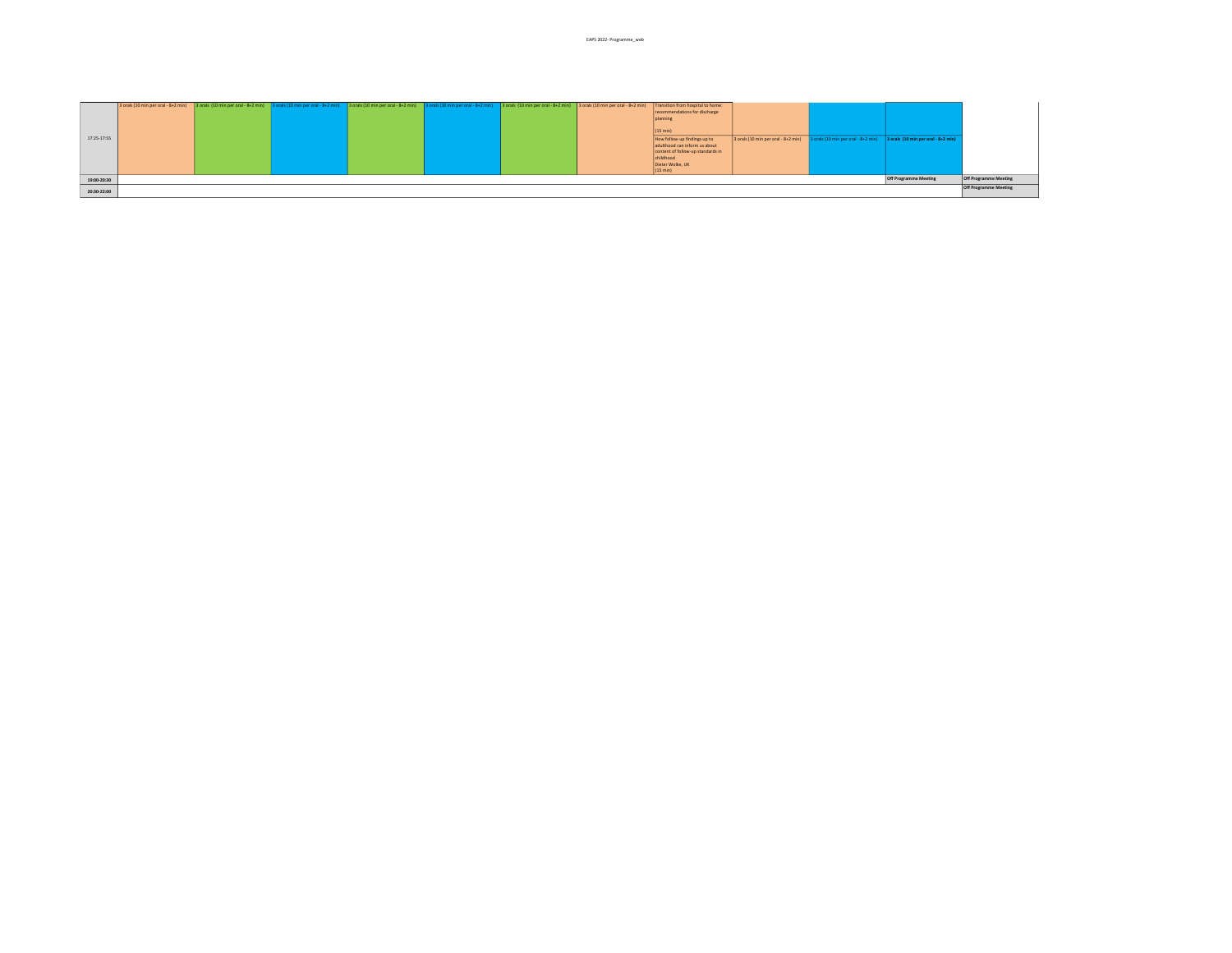|             |                       |  |  |  |  |  | 3 orals (10 min per oral - 8+2 min) 3 orals (10 min per oral - 8+2 min) 3 orals (10 min per oral - 8+2 min) 3 orals (10 min per oral - 8+2 min) 3 orals (10 min per oral - 8+2 min) 3 orals (10 min per oral - 8+2 min) 3 oral | Transition from hospital to home: |                                                                         |  |                                     |                       |
|-------------|-----------------------|--|--|--|--|--|--------------------------------------------------------------------------------------------------------------------------------------------------------------------------------------------------------------------------------|-----------------------------------|-------------------------------------------------------------------------|--|-------------------------------------|-----------------------|
|             |                       |  |  |  |  |  |                                                                                                                                                                                                                                | recommendations for discharge     |                                                                         |  |                                     |                       |
| 17:25-17:55 |                       |  |  |  |  |  |                                                                                                                                                                                                                                | planning                          |                                                                         |  |                                     |                       |
|             |                       |  |  |  |  |  |                                                                                                                                                                                                                                |                                   |                                                                         |  |                                     |                       |
|             |                       |  |  |  |  |  |                                                                                                                                                                                                                                | (15 min)                          |                                                                         |  |                                     |                       |
|             |                       |  |  |  |  |  |                                                                                                                                                                                                                                | How follow-up findings up to      | 3 orals (10 min per oral - 8+2 min) 3 orals (10 min per oral - 8+2 min) |  | 3 orals (10 min per oral - 8+2 min) |                       |
|             |                       |  |  |  |  |  |                                                                                                                                                                                                                                | adulthood can inform us about     |                                                                         |  |                                     |                       |
|             |                       |  |  |  |  |  |                                                                                                                                                                                                                                | content of follow-up standards in |                                                                         |  |                                     |                       |
|             |                       |  |  |  |  |  |                                                                                                                                                                                                                                | childhood                         |                                                                         |  |                                     |                       |
|             |                       |  |  |  |  |  |                                                                                                                                                                                                                                | Dieter Wolke, UK                  |                                                                         |  |                                     |                       |
|             |                       |  |  |  |  |  |                                                                                                                                                                                                                                | (15 min)                          |                                                                         |  |                                     |                       |
| 19:00-20:30 | Off Programme Meeting |  |  |  |  |  |                                                                                                                                                                                                                                |                                   |                                                                         |  | Off Programme Meeting               |                       |
|             |                       |  |  |  |  |  |                                                                                                                                                                                                                                |                                   |                                                                         |  |                                     | Off Programme Meeting |
|             |                       |  |  |  |  |  |                                                                                                                                                                                                                                |                                   |                                                                         |  |                                     |                       |
| 20:30-22:00 |                       |  |  |  |  |  |                                                                                                                                                                                                                                |                                   |                                                                         |  |                                     |                       |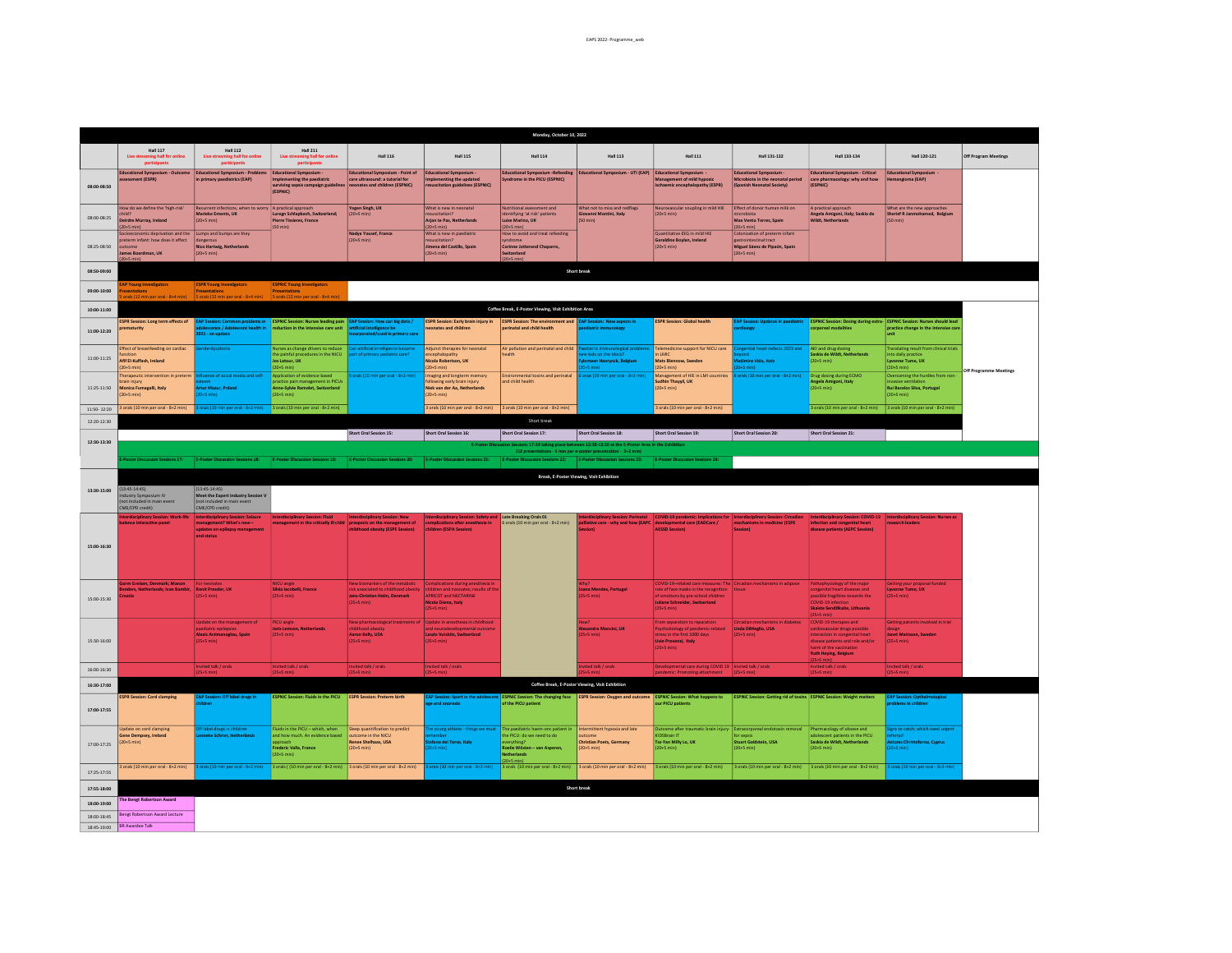|             |                                                                                                               |                                                                                                             |                                                                                                                                       |                                                                                                                                         |                                                                                                                                                  | Monday, October 10, 2022                                                                                                                      |                                                                                                            |                                                                                                                                                                                                             |                                                                                                        |                                                                                                                                                                                          |                                                                                                                   |                        |
|-------------|---------------------------------------------------------------------------------------------------------------|-------------------------------------------------------------------------------------------------------------|---------------------------------------------------------------------------------------------------------------------------------------|-----------------------------------------------------------------------------------------------------------------------------------------|--------------------------------------------------------------------------------------------------------------------------------------------------|-----------------------------------------------------------------------------------------------------------------------------------------------|------------------------------------------------------------------------------------------------------------|-------------------------------------------------------------------------------------------------------------------------------------------------------------------------------------------------------------|--------------------------------------------------------------------------------------------------------|------------------------------------------------------------------------------------------------------------------------------------------------------------------------------------------|-------------------------------------------------------------------------------------------------------------------|------------------------|
|             | <b>Hall 117</b><br>Live streaming hall for online                                                             | <b>Hall 112</b><br>Live streaming hall for onlin<br>narticinal                                              | <b>Hall 211</b><br>Live streaming hall for online<br>nart                                                                             | <b>Hall 116</b>                                                                                                                         | <b>Hall 115</b>                                                                                                                                  | <b>Hall 114</b>                                                                                                                               | <b>Hall 113</b>                                                                                            | <b>Hall 111</b>                                                                                                                                                                                             | Hall 131-132                                                                                           | Hall 133-134                                                                                                                                                                             | Hall 120-121                                                                                                      | Off Program Meetings   |
| 08:00-08:50 | <b>Educational Symposium - Outcome</b><br>ssment (ESPR)                                                       | <b>Educational Symposium - Problems</b><br>n primary paediatrics (EAP)                                      | <b>Educational Symposium</b><br>mplementing the paediatri<br>surviving sepsis campaign guidelir<br>(ESPNIC)                           | Educational Symposium - Point of<br>care ultrasound: a tutorial for<br>conates and children (ESPNIC)                                    | <b>Educational Symposium</b><br>Implementing the updated<br>suscitation guidelines (ESPNIC)                                                      | Educational Symposium -Refeeding<br>indrome in the PICU (ESPNIC)                                                                              | Educational Symposium - UTI (EAP)                                                                          | Educational Symposium<br>lanagement of mild hypoxi<br>schaemic encephalopathy (ESPR)                                                                                                                        | <b>Educational Symposium</b><br>icrobiota in the neonatal period<br>(Spanish Neonatal Society)         | <b>Educational Symposium - Critical</b><br>care pharmacology: why and how<br>(ESPNIC)                                                                                                    | Educational Symposium<br>Hemangioma (EAP)                                                                         |                        |
| 08:00-08:25 | How do we define the 'high-risk'<br><b>Shlid</b><br><b>Deirdre Murray, Ireland</b><br>$20+5$ min)             | Recurrent infections, when to worry A practical approach<br>Marieke Emonts, UK<br>$(20+5 \text{ min})$      | uregn Schlapbach, Switzerland;<br><b>Pierre Tissieres, France</b><br>$[50 \text{ min}]$                                               | Yogen Singh, UK<br>$(20+5 min)$                                                                                                         | What is new in neonatal<br><b>Arian te Pas, Netherlands</b><br>$(20+5 min)$                                                                      | Nutritional assessment and<br>identifying 'at risk' patients<br>Luise Marino, UK<br>$(20+5 min)$                                              | What not to miss and redflags<br>Siovanni Montini, Italy<br>$(50 \text{ min})$                             | Neurovascular coupling in mild HIE<br>$(20+5 \text{ min})$                                                                                                                                                  | Effect of donor human milk on<br>robiota<br>Max Vento Torres, Spain<br>$(20+5 min)$                    | A practical approach<br>Angela Amigoni, Italy; Saskia de<br><b>Wildt</b> , Netherlands                                                                                                   | What are the new approaches<br>Sherief R Janmohamed, Belgiur<br>$(50 \text{ min})$                                |                        |
| 08:25-08:50 | socioeconomic deprivation and the<br>eterm infant: how does it affect<br>utrome<br>ames Boardman, UK          | umps and bumps are they<br>angerous<br><b>Nico Hartwig, Netherlands</b><br>$(20+5 min)$                     |                                                                                                                                       | Nadya Yousef, France<br>$(20+5 min)$                                                                                                    | What is new in paediatric<br>resuscitation?<br>Jimena del Castillo, Spain<br>$(20+5 min)$                                                        | How to avoid and treat refeeding<br>yndrome<br>Corinne Jotterand Chaparro,<br>Switzerland                                                     |                                                                                                            | Quantitative EEG in mild HIE<br>Geraldine Boylan, Ireland<br>$(20+5 \text{ min})$                                                                                                                           | Colonization of preterm infant<br>astrointestinal tract<br>Miguel Sáenz de Pipaón, Spain<br>(20+5 min) |                                                                                                                                                                                          |                                                                                                                   |                        |
| 08:50-09:00 |                                                                                                               |                                                                                                             |                                                                                                                                       |                                                                                                                                         |                                                                                                                                                  |                                                                                                                                               | Short break                                                                                                |                                                                                                                                                                                                             |                                                                                                        |                                                                                                                                                                                          |                                                                                                                   |                        |
| 09:00-10:00 | oung Investigators<br><b>sentations</b><br>n nor oral - Red min                                               | <b>ESPR Young Investigators</b><br>Presentations<br>ir (12 min nor oral - 944 min                           | <b>ESPNIC Young Investigators</b><br><b>Presentations</b><br>in nor oral - Red m                                                      |                                                                                                                                         |                                                                                                                                                  |                                                                                                                                               |                                                                                                            |                                                                                                                                                                                                             |                                                                                                        |                                                                                                                                                                                          |                                                                                                                   |                        |
| 10:00-11:00 |                                                                                                               |                                                                                                             |                                                                                                                                       |                                                                                                                                         |                                                                                                                                                  | Coffee Break, E-Poster Viewing, Visit Exhibition Area                                                                                         |                                                                                                            |                                                                                                                                                                                                             |                                                                                                        |                                                                                                                                                                                          |                                                                                                                   |                        |
| 11:00-12:20 | <b>ESPR Session: Long term effects of</b><br>prematurity                                                      | EAP Session: Common problems in<br>adolescence / Adolescent health in<br>021 - an update                    | ESPNIC Session: Nurses leading pain EAP Session: How can big data /<br>eduction in the intensive care unit artificial intelligence be | orated/used in primary car                                                                                                              | <b>ESPR Session: Early brain injury in</b><br>conates and children                                                                               | <b>ESPR Session: The environment and EAP Session: New aspects in</b><br>erinatal and child health                                             | ediatric immunology                                                                                        | <b>ESPR Session: Global health</b>                                                                                                                                                                          | <b>AP Session: Updates in paediatric</b><br>rdiology                                                   | corporeal modalities                                                                                                                                                                     | ESPNIC Session: Dosing during extra- ESPNIC Session: Nurses should lead<br>practice change in the intensive car   |                        |
| 11:00-11:25 | Effect of breastfeeding on cardiac<br><i><u><b>Inction</b></u></i><br>Afif El-Kuffash, Ireland<br>$20+5$ min) | nderdysphoria                                                                                               | Nurses as change drivers to reduce   Can artificial intelligence become<br>the painful procedures in the NICU<br>Jos Latour, UK       | art of primary pediatric care?                                                                                                          | Adjunct therapies for neonatal<br>cephalopathy<br>licola Robertson, UK<br>$20+5$ min)                                                            | Air pollution and perinatal and child<br>health                                                                                               | ediatric immunological problem<br>w kids on the block?<br>omeen Haerynck, Belgium                          | relemedicine support for NICU care<br>LMIC<br>Mats Blennow, Sweden<br>$20+5$ min)                                                                                                                           | ongenital heart defects 2023 and AKI and drug dosing<br>dimiro Vida, Italy                             | Saskia de Wildt, Netherlands<br>$(20+5 \text{ min})$                                                                                                                                     | <b>Translating result from clinical trials</b><br>into daily practice<br>Lyvonne Tume, UK<br>$(20+5 \text{ min})$ |                        |
| 11:25-11:50 | herapeutic intervention in preter<br>brain injury<br>Monica Fumagalli, Italy<br>$(20+5 \text{ min})$          | rence of social media and sell<br><b>Artur Mazur, Poland</b><br>$20+5$ min)                                 | pplication of evidence based<br>ment in PICUs<br>actice pain mana<br><b>Anne-Sylvie Ramelet, Switzerland</b><br>$(20+5 \text{ min})$  | orals (10 min per oral - 8+2 min)                                                                                                       | aging and longterm memory<br>owing early brain injury<br>Niek van der Aa. Netherlands<br>$(20+5 min)$                                            | <b>Environmental toxins and perinatal</b><br>and child health                                                                                 | irals (10 min per oral - 8+2 min)                                                                          | Management of HIE in LMI countries<br>udhin Thayyil, UK<br>$(20+5 \text{ min})$                                                                                                                             | irals (10 min per oral - 8+2 min)                                                                      | Drug dosing during ECMO<br>Angela Amigoni, Italy<br>$(20+5 \text{ min})$                                                                                                                 | Overcoming the hurdles from non<br><b>Rui Bacelos Silva, Portugal</b><br>$(20+5 min)$                             | Off Programme Meetings |
| 11:50-12:20 | orals (10 min per oral - 8+2 min)                                                                             | orals (10 min per oral - 8+2 min)                                                                           | 3 orals (10 min per oral - 8+2 min)                                                                                                   |                                                                                                                                         | 3 orals (10 min per oral - 8+2 min)                                                                                                              | 3 orals (10 min per oral - 8+2 min)                                                                                                           |                                                                                                            | orals (10 min per oral - 8+2 min)                                                                                                                                                                           |                                                                                                        | 3 orals (10 min per oral - 8+2 min)                                                                                                                                                      | 3 orals (10 min per oral - 8+2 min                                                                                |                        |
| 12:20-12:30 |                                                                                                               |                                                                                                             |                                                                                                                                       |                                                                                                                                         |                                                                                                                                                  | Short break                                                                                                                                   |                                                                                                            |                                                                                                                                                                                                             |                                                                                                        |                                                                                                                                                                                          |                                                                                                                   |                        |
| 12:30-13:30 |                                                                                                               |                                                                                                             |                                                                                                                                       | Short Oral Session 15:                                                                                                                  | Short Oral Session 16:<br><b>E-Poster D</b>                                                                                                      | Short Oral Session 17:                                                                                                                        | Short Oral Session 18:<br>ns 17-24 taking place between 12:30-13:30 at the E-Poster Area in the Exhibition | Short Oral Session 19:                                                                                                                                                                                      | Short Oral Session 20:                                                                                 | Short Oral Session 21:                                                                                                                                                                   |                                                                                                                   |                        |
|             | Poster Discussion Sessions 17:                                                                                | <b>E-Poster Discussion Sessions 18:</b>                                                                     | E-Poster Discussion Sessions 19:                                                                                                      | E-Poster Discussion Sessions 20:                                                                                                        | E-Poster Discussion Sessions 21:                                                                                                                 | E-Poster Discussion Sessions 22:                                                                                                              | (12 presentations - 5 min per e-poster presentation - 3+2 min)<br>E-Poster Discussion Sessions 23:         | E-Poster Discussion Sessions 24:                                                                                                                                                                            |                                                                                                        |                                                                                                                                                                                          |                                                                                                                   |                        |
| 13:30-15:00 | $(13:45-14:45)$<br>ndustry Symposium IV<br>(not included in main event<br>CME/CPD credit)                     | $(13:45-14:45)$<br>Meet the Expert Industry Session \<br>not included in main event<br>CME/CPD credit)      |                                                                                                                                       |                                                                                                                                         |                                                                                                                                                  |                                                                                                                                               | Break, E-Poster Viewing, Visit Exhibition                                                                  |                                                                                                                                                                                                             |                                                                                                        |                                                                                                                                                                                          |                                                                                                                   |                        |
| 15:00-16:30 | erdisciplinary Session: Work-life<br>lance interactive panel                                                  | nterdisciplinary Session: Seizure<br>anagement? What's new-<br>updates on epilepsy management<br>and status | Interdisciplinary Session: Fluid                                                                                                      | nterdisciplinary Session: New<br>nagement in the critically ill child prospects on the management of<br>hildhood obesity (ESPE Session) | Interdisciplinary Session: Safety and<br>complications after anesthesia in<br>children (ESPA Session)                                            | Late Breaking Orals 01<br>6 orals (10 min per oral - 8+2 min)                                                                                 |                                                                                                            | illiative care - why and how (EAPC developmental care (EADCare /<br>stion)<br>AESSD Session)<br>AESSD Session)                                                                                              | Interdisciplinary Session: Circadian<br>mechanisms in medicine (ESPE<br>Session)                       | Interdisciplinary Session: COVID-19<br>infection and congenital heart<br>disease patients (AEPC Session)                                                                                 | Interdisciplinary Session: Nurses as<br>search leaders                                                            |                        |
| 15:00-15:30 | m Greisen, Denmark; Manon<br>ders, Netherlands; Ivan Bambir.<br>oatia                                         | <b>Ronit Pressler, UK</b><br>$25+5$ min)                                                                    | NICU angle<br>Silvia Iacobelli, France<br>$(25+5$ min)                                                                                | New biomarkers of the metabol<br>priated to childhood obe<br>Jens-Christian Holm, Denmark<br>$(25+5 min)$                               | Complications during anesthesia in<br>illdren and neonates; results of th<br><b>APRICOT and NECTARINE</b><br>Nicola Disma, Italy<br>$(25+5 min)$ |                                                                                                                                               | ana Mendes, Portugal<br>$5+5$ min)                                                                         | COVID-19-related care measures: The Circadian mechanisms in adipose<br>role of face masks in the recognition<br>of emotions by pre-school children<br><b>Juliane Schneider, Switzerland</b><br>$(25+5 min)$ | tissue                                                                                                 | Pathophysiology of the major<br>congenital heart diseases and<br>possible fragilities towards the<br>COVID-19 infection<br>Skaiste Sendžikaite, Lithuania                                | Getting your proposal funded<br>Lyvonne Tume, UK<br>$(25+5 \text{ min})$                                          |                        |
| 15:30-16:00 |                                                                                                               | Jodate on the manage<br>ment of<br>ediatric epilepsies<br>Alexis Arzimanoglou, Spain<br>$25+5$ min)         | PICU angle<br><b>Joris Lemson, Netherlands</b><br>$25+5$ min)                                                                         | New pharmacological treatments<br>ildhood obesity<br>Aaron Kelly, USA<br>$(25+5 \text{ min})$                                           | Update in anesthesia in childhood<br>d neurodeveloomental out<br>Laszlo Vutskits, Switzerland<br>$(25+5 min)$                                    |                                                                                                                                               | <b>Alexandra Mancini, UK</b><br>$+5$ min)                                                                  | From separation to reparation:<br>Psychobiology of pandemic-related<br>stress in the first 1000 days<br>Livio Provenzi, Italy<br>$(25+5$ min $)$                                                            | Circadian mechanisms in diabetes<br>Linda DiMeglio, USA<br>$(25+5 min)$                                | COVID-19 therapies and<br>cardiovascular drugs possible<br>interaction in congenital heart<br>disease patients and role and/or<br>harm of the vaccination<br><b>Ruth Heying, Belgium</b> | Getting patients involved in trial<br><b>Janet Mattsson, Sweden</b><br>$(25+5 \text{ min})$                       |                        |
| 16:00-16:30 |                                                                                                               | wited talk / orals                                                                                          | Invited talk / orals                                                                                                                  | nvited talk / orals                                                                                                                     | Invited talk / orals                                                                                                                             |                                                                                                                                               | vited talk / orals                                                                                         | Developmental care during COVID 19   Invited talk / orals                                                                                                                                                   |                                                                                                        | Invited talk / orals                                                                                                                                                                     | Invited talk / orals                                                                                              |                        |
| 16:30-17:00 |                                                                                                               |                                                                                                             |                                                                                                                                       |                                                                                                                                         |                                                                                                                                                  |                                                                                                                                               | Coffee Break, E-Poster Viewing, Visit Exhibition                                                           |                                                                                                                                                                                                             |                                                                                                        |                                                                                                                                                                                          |                                                                                                                   |                        |
| 17:00-17:55 | <b>ESPR Session: Cord clamping</b>                                                                            | <b>EAP Session: Off label drugs in</b>                                                                      | <b>ESPNIC Session: Fluids in the PICU</b>                                                                                             | <b>ESPR Session: Preterm birth</b>                                                                                                      | ge and anorexia                                                                                                                                  | EAP Session: Sport in the adolescent   ESPNIC Session: The changing face   ESPR Session: Oxygen and outcome<br>of the PICU patient            |                                                                                                            | <b>ESPNIC Session: What happens to</b><br>our PICU patients                                                                                                                                                 | <b>ESPNIC Session: Getting rid of toxins ESPNIC Session: Weight matters</b>                            |                                                                                                                                                                                          | <b>EAP Session: Opthalmological</b><br>blems in children                                                          |                        |
| 17:00-17:25 | <b>Jodate on cord clamping</b><br>Gene Dempsey, Ireland<br>$(20+5 min)$                                       | <b>Flabel drugs in children</b><br>neke Schrier, Netherlands                                                | uids in the PICU - which, when<br>ind how much. An evide<br>Frederic Valla, France<br>$(20+5 \text{ min})$                            | Sleep quantification to predict<br>utcome in the NICU<br><b>Renee Shelhaas, USA</b><br>$(20+5 min)$                                     | le young athlete - things we mus<br>efano del Torso, Italy                                                                                       | The paediatric haem-onc patient in<br>the PICU: do we need to do<br>verything?<br>Roelie Wösten<br><b>Netherlands</b><br>$(20+5 \text{ min})$ | Intermittent hypoxia and late<br>outcome<br><b>Christian Poets, Germany</b><br>$(20+5 min)$                | Outcome after traumatic brain injury-<br>KIDSRrain IT<br>Tsz-Yan Milly Lo, UK<br>$(20+5 min)$                                                                                                               | Extracorporeal endotoxin removal<br>for sepsis<br><b>Stuart Goldstein, USA</b><br>$(20+5 \text{ min})$ | Pharmacology of obsese and<br>adolescent patients in the PICU<br>Saskia de Wildt, Netherlands<br>$(20+5 min)$                                                                            | gns to catch; which need urgent<br><b>Slams</b><br><b>Antonis Christoforou, Cyprus</b><br>$0+5$ min)              |                        |
| 17:25-17:55 | orals (10 min per oral - 8+2 min)                                                                             | orals (10 min per oral - 8+2 min)                                                                           | orals ((10 min per oral - 8+2 min)                                                                                                    | 3 orals (10 min per oral - 8+2 min)                                                                                                     | orals (10 min per oral - 8+2 min)                                                                                                                | orals (10 min per oral - 8+2 min)                                                                                                             | 3 orals (10 min per oral - 8+2 min)                                                                        | 3 orals (10 min per oral - 8+2 min)                                                                                                                                                                         | 3 orals (10 min per oral - 8+2 min)                                                                    | 3 orals (10 min per oral - 8+2 min)                                                                                                                                                      | orals (10 min per oral - 8+2 min                                                                                  |                        |
| 17:55-18:00 |                                                                                                               |                                                                                                             |                                                                                                                                       |                                                                                                                                         |                                                                                                                                                  |                                                                                                                                               | <b>Short break</b>                                                                                         |                                                                                                                                                                                                             |                                                                                                        |                                                                                                                                                                                          |                                                                                                                   |                        |
| 18:00-19:00 | he Bengt Robertson Award                                                                                      |                                                                                                             |                                                                                                                                       |                                                                                                                                         |                                                                                                                                                  |                                                                                                                                               |                                                                                                            |                                                                                                                                                                                                             |                                                                                                        |                                                                                                                                                                                          |                                                                                                                   |                        |
| 18:00-18:45 | Bengt Robertson Award Lecture                                                                                 |                                                                                                             |                                                                                                                                       |                                                                                                                                         |                                                                                                                                                  |                                                                                                                                               |                                                                                                            |                                                                                                                                                                                                             |                                                                                                        |                                                                                                                                                                                          |                                                                                                                   |                        |
|             | 18:45-19:00 BR Awardee Talk                                                                                   |                                                                                                             |                                                                                                                                       |                                                                                                                                         |                                                                                                                                                  |                                                                                                                                               |                                                                                                            |                                                                                                                                                                                                             |                                                                                                        |                                                                                                                                                                                          |                                                                                                                   |                        |